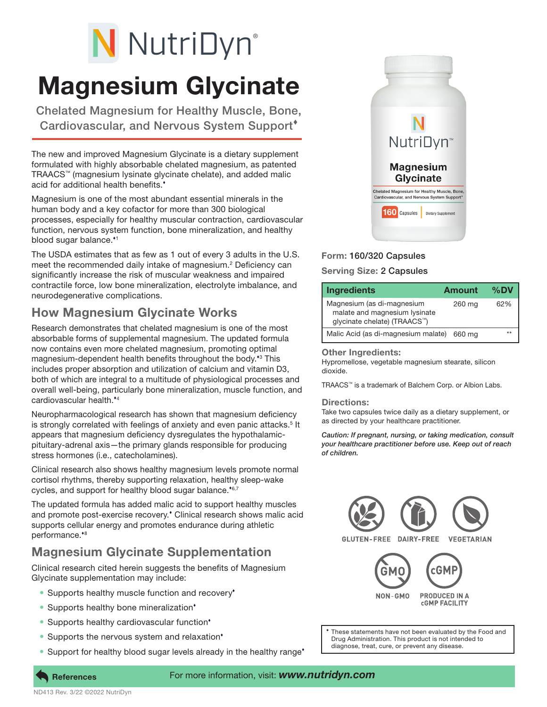# N NutriDyn®

# Magnesium Glycinate

Chelated Magnesium for Healthy Muscle, Bone, Cardiovascular, and Nervous System Support

The new and improved Magnesium Glycinate is a dietary supplement formulated with highly absorbable chelated magnesium, as patented TRAACS™ (magnesium lysinate glycinate chelate), and added malic acid for additional health benefits.

Magnesium is one of the most abundant essential minerals in the human body and a key cofactor for more than 300 biological processes, especially for healthy muscular contraction, cardiovascular function, nervous system function, bone mineralization, and healthy blood sugar balance.\*1

The USDA estimates that as few as 1 out of every 3 adults in the U.S. meet the recommended daily intake of magnesium.<sup>2</sup> Deficiency can significantly increase the risk of muscular weakness and impaired contractile force, low bone mineralization, electrolyte imbalance, and neurodegenerative complications.

### How Magnesium Glycinate Works

Research demonstrates that chelated magnesium is one of the most absorbable forms of supplemental magnesium. The updated formula now contains even more chelated magnesium, promoting optimal magnesium-dependent health benefits throughout the body.<sup>\*3</sup> This includes proper absorption and utilization of calcium and vitamin D3, both of which are integral to a multitude of physiological processes and overall well-being, particularly bone mineralization, muscle function, and cardiovascular health.<sup>\*4</sup>

Neuropharmacological research has shown that magnesium deficiency is strongly correlated with feelings of anxiety and even panic attacks.<sup>5</sup> It appears that magnesium deficiency dysregulates the hypothalamicpituitary-adrenal axis—the primary glands responsible for producing stress hormones (i.e., catecholamines).

Clinical research also shows healthy magnesium levels promote normal cortisol rhythms, thereby supporting relaxation, healthy sleep-wake cycles, and support for healthy blood sugar balance.<sup>46,7</sup>

The updated formula has added malic acid to support healthy muscles and promote post-exercise recovery. Clinical research shows malic acid supports cellular energy and promotes endurance during athletic performance.\*8

## Magnesium Glycinate Supplementation

Clinical research cited herein suggests the benefits of Magnesium Glycinate supplementation may include:

- Supports healthy muscle function and recovery<sup>\*</sup>
- Supports healthy bone mineralization<sup>\*</sup>
- Supports healthy cardiovascular function<sup>\*</sup>
- Supports the nervous system and relaxation<sup>\*</sup>
- Support for healthy blood sugar levels already in the healthy range<sup>\*</sup>



#### Form: 160/320 Capsules

#### Serving Size: 2 Capsules

| <b>Ingredients</b>                                                                                       | <b>Amount</b> | $%$ DV |
|----------------------------------------------------------------------------------------------------------|---------------|--------|
| Magnesium (as di-magnesium<br>malate and magnesium lysinate<br>glycinate chelate) (TRAACS <sup>™</sup> ) | 260 mg        | 62%    |
| Malic Acid (as di-magnesium malate)                                                                      | 660 ma        |        |

#### Other Ingredients:

Hypromellose, vegetable magnesium stearate, silicon dioxide.

TRAACS™ is a trademark of Balchem Corp. or Albion Labs.

#### Directions:

Take two capsules twice daily as a dietary supplement, or as directed by your healthcare practitioner.

*Caution: If pregnant, nursing, or taking medication, consult your healthcare practitioner before use. Keep out of reach of children.*



These statements have not been evaluated by the Food and Drug Administration. This product is not intended to diagnose, treat, cure, or prevent any disease.

#### For more information, visit: *www.nutridyn.com*